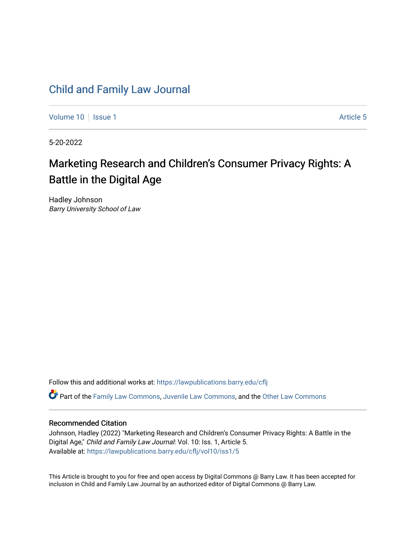# [Child and Family Law Journal](https://lawpublications.barry.edu/cflj)

[Volume 10](https://lawpublications.barry.edu/cflj/vol10) | [Issue 1](https://lawpublications.barry.edu/cflj/vol10/iss1) Article 5

5-20-2022

# Marketing Research and Children's Consumer Privacy Rights: A Battle in the Digital Age

Hadley Johnson Barry University School of Law

Follow this and additional works at: [https://lawpublications.barry.edu/cflj](https://lawpublications.barry.edu/cflj?utm_source=lawpublications.barry.edu%2Fcflj%2Fvol10%2Fiss1%2F5&utm_medium=PDF&utm_campaign=PDFCoverPages)

Part of the [Family Law Commons,](https://network.bepress.com/hgg/discipline/602?utm_source=lawpublications.barry.edu%2Fcflj%2Fvol10%2Fiss1%2F5&utm_medium=PDF&utm_campaign=PDFCoverPages) [Juvenile Law Commons](https://network.bepress.com/hgg/discipline/851?utm_source=lawpublications.barry.edu%2Fcflj%2Fvol10%2Fiss1%2F5&utm_medium=PDF&utm_campaign=PDFCoverPages), and the [Other Law Commons](https://network.bepress.com/hgg/discipline/621?utm_source=lawpublications.barry.edu%2Fcflj%2Fvol10%2Fiss1%2F5&utm_medium=PDF&utm_campaign=PDFCoverPages)

### Recommended Citation

Johnson, Hadley (2022) "Marketing Research and Children's Consumer Privacy Rights: A Battle in the Digital Age," Child and Family Law Journal: Vol. 10: Iss. 1, Article 5. Available at: [https://lawpublications.barry.edu/cflj/vol10/iss1/5](https://lawpublications.barry.edu/cflj/vol10/iss1/5?utm_source=lawpublications.barry.edu%2Fcflj%2Fvol10%2Fiss1%2F5&utm_medium=PDF&utm_campaign=PDFCoverPages) 

This Article is brought to you for free and open access by Digital Commons @ Barry Law. It has been accepted for inclusion in Child and Family Law Journal by an authorized editor of Digital Commons @ Barry Law.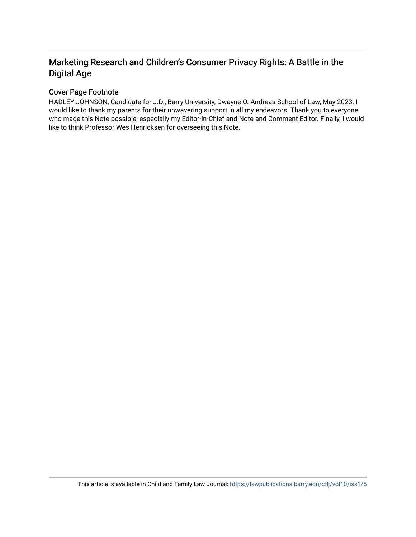# Marketing Research and Children's Consumer Privacy Rights: A Battle in the Digital Age

# Cover Page Footnote

HADLEY JOHNSON, Candidate for J.D., Barry University, Dwayne O. Andreas School of Law, May 2023. I would like to thank my parents for their unwavering support in all my endeavors. Thank you to everyone who made this Note possible, especially my Editor-in-Chief and Note and Comment Editor. Finally, I would like to think Professor Wes Henricksen for overseeing this Note.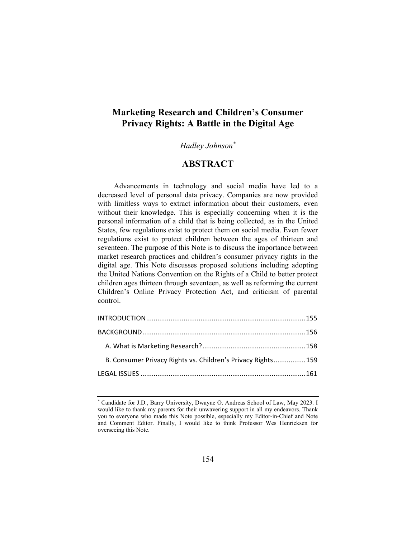# **Marketing Research and Children's Consumer Privacy Rights: A Battle in the Digital Age**

# *Hadley Johnson\**

# **ABSTRACT**

Advancements in technology and social media have led to a decreased level of personal data privacy. Companies are now provided with limitless ways to extract information about their customers, even without their knowledge. This is especially concerning when it is the personal information of a child that is being collected, as in the United States, few regulations exist to protect them on social media. Even fewer regulations exist to protect children between the ages of thirteen and seventeen. The purpose of this Note is to discuss the importance between market research practices and children's consumer privacy rights in the digital age. This Note discusses proposed solutions including adopting the United Nations Convention on the Rights of a Child to better protect children ages thirteen through seventeen, as well as reforming the current Children's Online Privacy Protection Act, and criticism of parental control.

| B. Consumer Privacy Rights vs. Children's Privacy Rights 159 |  |
|--------------------------------------------------------------|--|
|                                                              |  |

<sup>\*</sup> Candidate for J.D., Barry University, Dwayne O. Andreas School of Law, May 2023. I would like to thank my parents for their unwavering support in all my endeavors. Thank you to everyone who made this Note possible, especially my Editor-in-Chief and Note and Comment Editor. Finally, I would like to think Professor Wes Henricksen for overseeing this Note.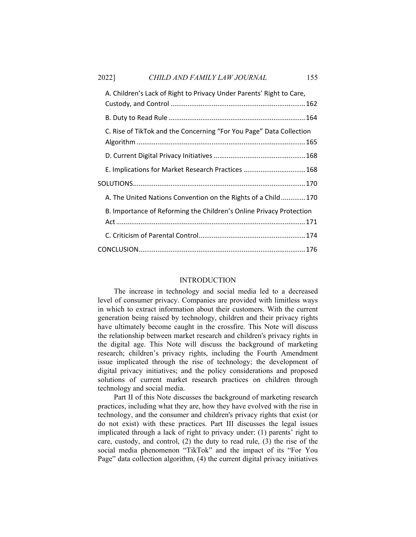## 2022] *CHILD AND FAMILY LAW JOURNAL* 155

| A. Children's Lack of Right to Privacy Under Parents' Right to Care, |                                                                                                                                                                                                                                                                 |  |
|----------------------------------------------------------------------|-----------------------------------------------------------------------------------------------------------------------------------------------------------------------------------------------------------------------------------------------------------------|--|
|                                                                      |                                                                                                                                                                                                                                                                 |  |
|                                                                      |                                                                                                                                                                                                                                                                 |  |
|                                                                      |                                                                                                                                                                                                                                                                 |  |
|                                                                      |                                                                                                                                                                                                                                                                 |  |
|                                                                      |                                                                                                                                                                                                                                                                 |  |
|                                                                      | C. Rise of TikTok and the Concerning "For You Page" Data Collection<br>E. Implications for Market Research Practices 168<br>A. The United Nations Convention on the Rights of a Child170<br>B. Importance of Reforming the Children's Online Privacy Protection |  |
|                                                                      |                                                                                                                                                                                                                                                                 |  |
|                                                                      |                                                                                                                                                                                                                                                                 |  |
|                                                                      |                                                                                                                                                                                                                                                                 |  |
|                                                                      |                                                                                                                                                                                                                                                                 |  |
|                                                                      |                                                                                                                                                                                                                                                                 |  |

#### **INTRODUCTION**

The increase in technology and social media led to a decreased level of consumer privacy. Companies are provided with limitless ways in which to extract information about their customers. With the current generation being raised by technology, children and their privacy rights have ultimately become caught in the crossfire. This Note will discuss the relationship between market research and children's privacy rights in the digital age. This Note will discuss the background of marketing research; children's privacy rights, including the Fourth Amendment issue implicated through the rise of technology; the development of digital privacy initiatives; and the policy considerations and proposed solutions of current market research practices on children through technology and social media.

Part II of this Note discusses the background of marketing research practices, including what they are, how they have evolved with the rise in technology, and the consumer and children's privacy rights that exist (or do not exist) with these practices. Part III discusses the legal issues implicated through a lack of right to privacy under: (1) parents' right to care, custody, and control, (2) the duty to read rule, (3) the rise of the social media phenomenon "TikTok" and the impact of its "For You Page" data collection algorithm, (4) the current digital privacy initiatives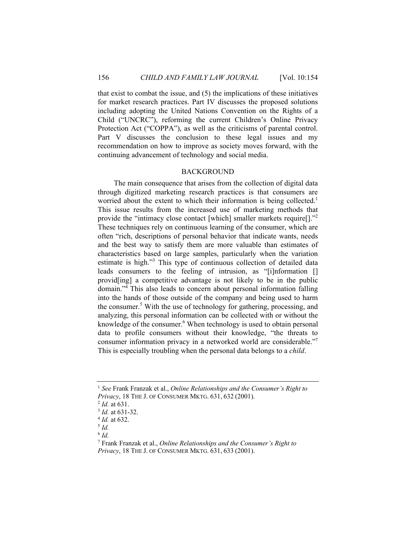that exist to combat the issue, and (5) the implications of these initiatives for market research practices. Part IV discusses the proposed solutions including adopting the United Nations Convention on the Rights of a Child ("UNCRC"), reforming the current Children's Online Privacy Protection Act ("COPPA"), as well as the criticisms of parental control. Part V discusses the conclusion to these legal issues and my recommendation on how to improve as society moves forward, with the continuing advancement of technology and social media.

#### BACKGROUND

The main consequence that arises from the collection of digital data through digitized marketing research practices is that consumers are worried about the extent to which their information is being collected.<sup>1</sup> This issue results from the increased use of marketing methods that provide the "intimacy close contact [which] smaller markets require[]."<sup>2</sup> These techniques rely on continuous learning of the consumer, which are often "rich, descriptions of personal behavior that indicate wants, needs and the best way to satisfy them are more valuable than estimates of characteristics based on large samples, particularly when the variation estimate is high."<sup>3</sup> This type of continuous collection of detailed data leads consumers to the feeling of intrusion, as "[i]nformation [] provid[ing] a competitive advantage is not likely to be in the public domain."4 This also leads to concern about personal information falling into the hands of those outside of the company and being used to harm the consumer.<sup>5</sup> With the use of technology for gathering, processing, and analyzing, this personal information can be collected with or without the knowledge of the consumer.<sup>6</sup> When technology is used to obtain personal data to profile consumers without their knowledge, "the threats to consumer information privacy in a networked world are considerable." This is especially troubling when the personal data belongs to a *child*.

<sup>1</sup> *See* Frank Franzak et al., *Online Relationships and the Consumer's Right to Privacy*, 18 THE J. OF CONSUMER MKTG. 631, 632 (2001).<br>
<sup>2</sup> *Id.* at 631.<br>
<sup>3</sup> *Id.* at 631-32.<br>
<sup>4</sup> *Id.* at 632.<br>
<sup>5</sup> *Id.* 

<sup>6</sup> *Id.*

<sup>7</sup> Frank Franzak et al., *Online Relationships and the Consumer's Right to Privacy*, 18 THE J. OF CONSUMER MKTG. 631, 633 (2001).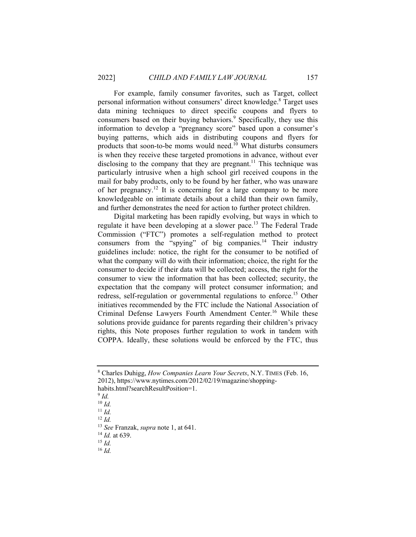For example, family consumer favorites, such as Target, collect personal information without consumers' direct knowledge.<sup>8</sup> Target uses data mining techniques to direct specific coupons and flyers to consumers based on their buying behaviors.<sup>9</sup> Specifically, they use this information to develop a "pregnancy score" based upon a consumer's buying patterns, which aids in distributing coupons and flyers for products that soon-to-be moms would need.<sup>10</sup> What disturbs consumers is when they receive these targeted promotions in advance, without ever disclosing to the company that they are pregnant.<sup>11</sup> This technique was particularly intrusive when a high school girl received coupons in the mail for baby products, only to be found by her father, who was unaware of her pregnancy.<sup>12</sup> It is concerning for a large company to be more knowledgeable on intimate details about a child than their own family, and further demonstrates the need for action to further protect children.

Digital marketing has been rapidly evolving, but ways in which to regulate it have been developing at a slower pace.13 The Federal Trade Commission ("FTC") promotes a self-regulation method to protect consumers from the "spying" of big companies.<sup>14</sup> Their industry guidelines include: notice, the right for the consumer to be notified of what the company will do with their information; choice, the right for the consumer to decide if their data will be collected; access, the right for the consumer to view the information that has been collected; security, the expectation that the company will protect consumer information; and redress, self-regulation or governmental regulations to enforce.<sup>15</sup> Other initiatives recommended by the FTC include the National Association of Criminal Defense Lawyers Fourth Amendment Center.<sup>16</sup> While these solutions provide guidance for parents regarding their children's privacy rights, this Note proposes further regulation to work in tandem with COPPA. Ideally, these solutions would be enforced by the FTC, thus

<sup>8</sup> Charles Duhigg, *How Companies Learn Your Secrets*, N.Y. TIMES (Feb. 16, 2012), https://www.nytimes.com/2012/02/19/magazine/shopping-

habits.html?searchResultPosition=1.

 $9$   $Id$ .

<sup>10</sup> *Id.*

<sup>11</sup> *Id.* 

<sup>12</sup> *Id.*

<sup>13</sup> *See* Franzak, *supra* note 1, at 641.

<sup>14</sup> *Id.* at 639. 15 *Id.*

<sup>16</sup> *Id.*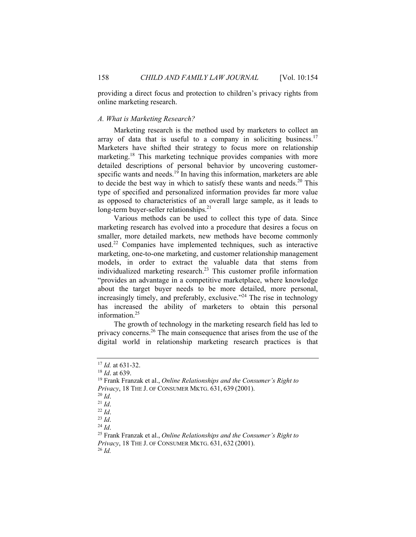providing a direct focus and protection to children's privacy rights from online marketing research.

#### *A. What is Marketing Research?*

Marketing research is the method used by marketers to collect an array of data that is useful to a company in soliciting business.<sup>17</sup> Marketers have shifted their strategy to focus more on relationship marketing.18 This marketing technique provides companies with more detailed descriptions of personal behavior by uncovering customerspecific wants and needs.<sup>19</sup> In having this information, marketers are able to decide the best way in which to satisfy these wants and needs. $20$  This type of specified and personalized information provides far more value as opposed to characteristics of an overall large sample, as it leads to long-term buyer-seller relationships.<sup>21</sup>

Various methods can be used to collect this type of data. Since marketing research has evolved into a procedure that desires a focus on smaller, more detailed markets, new methods have become commonly used.<sup>22</sup> Companies have implemented techniques, such as interactive marketing, one-to-one marketing, and customer relationship management models, in order to extract the valuable data that stems from individualized marketing research.<sup>23</sup> This customer profile information "provides an advantage in a competitive marketplace, where knowledge about the target buyer needs to be more detailed, more personal, increasingly timely, and preferably, exclusive."<sup>24</sup> The rise in technology has increased the ability of marketers to obtain this personal information.25

The growth of technology in the marketing research field has led to privacy concerns.26 The main consequence that arises from the use of the digital world in relationship marketing research practices is that

<sup>&</sup>lt;sup>17</sup> *Id.* at 631-32.<br><sup>18</sup> *Id.* at 639.

<sup>&</sup>lt;sup>19</sup> Frank Franzak et al., *Online Relationships and the Consumer's Right to Privacy*, 18 THE J. OF CONSUMER MKTG. 631, 639 (2001).<br>
<sup>20</sup> *Id*.<br>
<sup>21</sup> *Id*. <sup>22</sup> *Id*.<br>
<sup>23</sup> *Id*. <sup>24</sup> *Id*. <sup>24</sup> *Id*. <sup>25</sup> Frank Franzak et al., *Online Relationships and the Consumer's Right to* 

*Privacy*, 18 THE J. OF CONSUMER MKTG. 631, <sup>632</sup> (2001). 26 *Id.*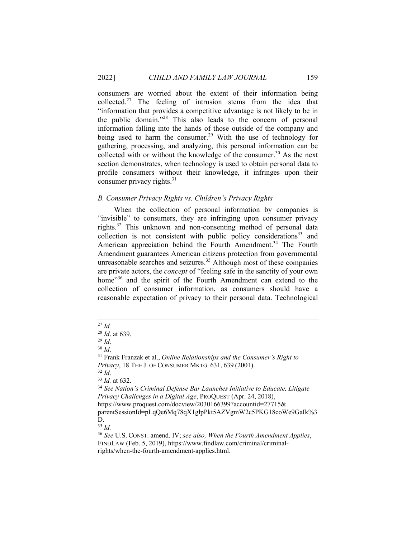consumers are worried about the extent of their information being collected.<sup>27</sup> The feeling of intrusion stems from the idea that "information that provides a competitive advantage is not likely to be in the public domain."28 This also leads to the concern of personal information falling into the hands of those outside of the company and being used to harm the consumer.<sup>29</sup> With the use of technology for gathering, processing, and analyzing, this personal information can be collected with or without the knowledge of the consumer.<sup>30</sup> As the next section demonstrates, when technology is used to obtain personal data to profile consumers without their knowledge, it infringes upon their consumer privacy rights. $31$ 

#### *B. Consumer Privacy Rights vs. Children's Privacy Rights*

When the collection of personal information by companies is "invisible" to consumers, they are infringing upon consumer privacy rights.32 This unknown and non-consenting method of personal data collection is not consistent with public policy considerations<sup>33</sup> and American appreciation behind the Fourth Amendment.<sup>34</sup> The Fourth Amendment guarantees American citizens protection from governmental unreasonable searches and seizures.<sup>35</sup> Although most of these companies are private actors, the *concept* of "feeling safe in the sanctity of your own home"<sup>36</sup> and the spirit of the Fourth Amendment can extend to the collection of consumer information, as consumers should have a reasonable expectation of privacy to their personal data. Technological

D.

<sup>35</sup> *Id.*

<sup>&</sup>lt;sup>27</sup> *Id.* <sup>28</sup> *Id.* at 639.

<sup>&</sup>lt;sup>29</sup> *Id.* 30 *Id.* 30 *Id.* 30 *Id.* 31 Franzak et al., *Online Relationships and the Consumer's Right to*  $\frac{31}{2}$  Frank Franzak et al., *Online Relationships and the Consumer's Right to Privacy*, 18 THE J. OF CONSUMER MKTG. 631, 639 (2001).<br><sup>32</sup> *Id.* at 632. 34 *Id.* at 632. *34 See Nation's Criminal Defense Bar Launches Initiative to Educate, Litigate* 

*Privacy Challenges in a Digital Age*, PROQUEST (Apr. 24, 2018), https://www.proquest.com/docview/2030166399?accountid=27715&

parentSessionId=pLqQe6Mq78qX1glpPkt5AZVgmW2c5PKG18coWe9GaIk%3

<sup>36</sup> *See* U.S. CONST. amend. IV; *see also, When the Fourth Amendment Applies*, FINDLAW (Feb. 5, 2019), https://www.findlaw.com/criminal/criminalrights/when-the-fourth-amendment-applies.html.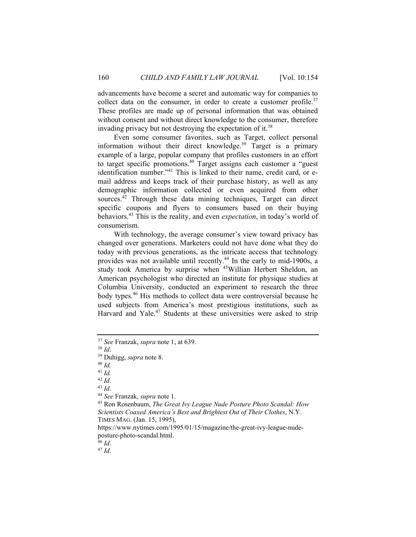advancements have become a secret and automatic way for companies to collect data on the consumer, in order to create a customer profile.<sup>37</sup> These profiles are made up of personal information that was obtained without consent and without direct knowledge to the consumer, therefore invading privacy but not destroying the expectation of it.<sup>38</sup>

Even some consumer favorites, such as Target, collect personal information without their direct knowledge.<sup>39</sup> Target is a primary example of a large, popular company that profiles customers in an effort to target specific promotions.<sup>40</sup> Target assigns each customer a "guest identification number."<sup>41</sup> This is linked to their name, credit card, or email address and keeps track of their purchase history, as well as any demographic information collected or even acquired from other sources.<sup>42</sup> Through these data mining techniques, Target can direct specific coupons and flyers to consumers based on their buying behaviors.43 This is the reality, and even *expectation*, in today's world of consumerism.

With technology, the average consumer's view toward privacy has changed over generations. Marketers could not have done what they do today with previous generations, as the intricate access that technology provides was not available until recently.44 In the early to mid-1900s, a study took America by surprise when <sup>45</sup>Willian Herbert Sheldon, an American psychologist who directed an institute for physique studies at Columbia University, conducted an experiment to research the three body types.46 His methods to collect data were controversial because he used subjects from America's most prestigious institutions, such as Harvard and Yale.<sup>47</sup> Students at these universities were asked to strip

<sup>42</sup> *Id*. 43 *Id*. 44 *See* Franzak, *supra* note 1.

45 Ron Rosenbaum, *The Great Ivy League Nude Posture Photo Scandal: How Scientists Coaxed America's Best and Brightest Out of Their Clothes*, N.Y. TIMES MAG. (Jan. 15, 1995),

https://www.nytimes.com/1995/01/15/magazine/the-great-ivy-league-nudeposture-photo-scandal.html.

<sup>37</sup> *See* Franzak, *supra* note 1, at 639. 38 *Id*. 39 Duhigg, *supra* note 8. 40 *Id.* 

 $^{41}$  *Id.*<br> $^{42}$  *Id.* 

<sup>46</sup> *Id*. 47 *Id*.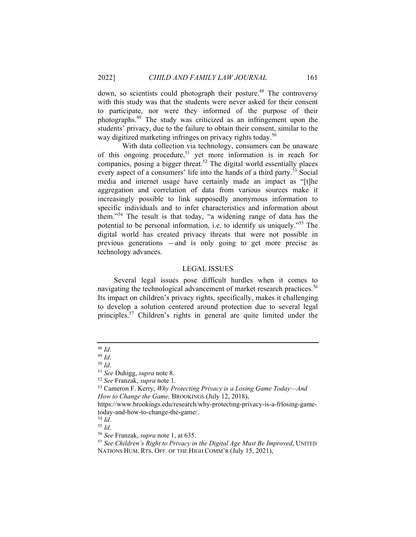down, so scientists could photograph their posture.<sup>48</sup> The controversy with this study was that the students were never asked for their consent to participate, nor were they informed of the purpose of their photographs.49 The study was criticized as an infringement upon the students' privacy, due to the failure to obtain their consent, similar to the way digitized marketing infringes on privacy rights today.<sup>50</sup>

 With data collection via technology, consumers can be unaware of this ongoing procedure,<sup>51</sup> yet more information is in reach for companies, posing a bigger threat.<sup>52</sup> The digital world essentially places every aspect of a consumers' life into the hands of a third party.<sup>53</sup> Social media and internet usage have certainly made an impact as "[t]he aggregation and correlation of data from various sources make it increasingly possible to link supposedly anonymous information to specific individuals and to infer characteristics and information about them."54 The result is that today, "a widening range of data has the potential to be personal information, i.e. to identify us uniquely."55 The digital world has created privacy threats that were not possible in previous generations —and is only going to get more precise as technology advances.

#### LEGAL ISSUES

Several legal issues pose difficult hurdles when it comes to navigating the technological advancement of market research practices.<sup>56</sup> Its impact on children's privacy rights, specifically, makes it challenging to develop a solution centered around protection due to several legal principles.57 Children's rights in general are quite limited under the

<sup>48</sup> *Id.*<br><sup>49</sup> *Id.*<br><sup>50</sup> *Id.*<br><sup>51</sup> *See* Duhigg, *supra* note 8.<br><sup>52</sup> *See* Franzak, *supra* note 1.

<sup>&</sup>lt;sup>53</sup> Cameron F. Kerry, *Why Protecting Privacy is a Losing Game Today—And How to Change the Game,* BROOKINGS (July 12, 2018),

https://www.brookings.edu/research/why-protecting-privacy-is-a-frlosing-gametoday-and-how-to-change-the-game/.<br><sup>54</sup> *Id.* 

<sup>54</sup> *Id*. 55 *Id*. 56 *See* Franzak, *supra* note 1, at 635. 57 *See Children's Right to Privacy in the Digital Age Must Be Improved*, UNITED NATIONS HUM. RTS. OFF. OF THE HIGH COMM'R (July 15, 2021),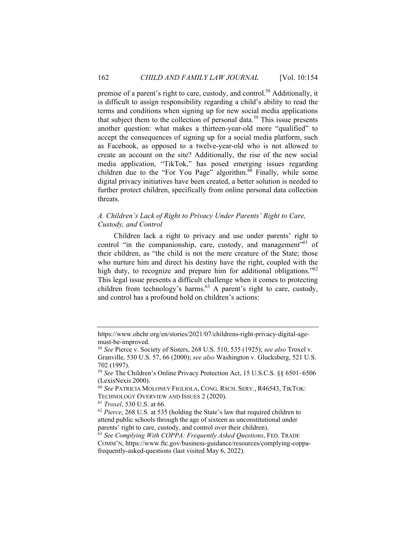premise of a parent's right to care, custody, and control.<sup>58</sup> Additionally, it is difficult to assign responsibility regarding a child's ability to read the terms and conditions when signing up for new social media applications that subject them to the collection of personal data.<sup>59</sup> This issue presents another question: what makes a thirteen-year-old more "qualified" to accept the consequences of signing up for a social media platform, such as Facebook, as opposed to a twelve-year-old who is not allowed to create an account on the site? Additionally, the rise of the new social media application, "TikTok," has posed emerging issues regarding children due to the "For You Page" algorithm.<sup>60</sup> Finally, while some digital privacy initiatives have been created, a better solution is needed to further protect children, specifically from online personal data collection threats.

### *A. Children's Lack of Right to Privacy Under Parents' Right to Care, Custody, and Control*

Children lack a right to privacy and use under parents' right to control "in the companionship, care, custody, and management"<sup>61</sup> of their children, as "the child is not the mere creature of the State; those who nurture him and direct his destiny have the right, coupled with the high duty, to recognize and prepare him for additional obligations."<sup>62</sup> This legal issue presents a difficult challenge when it comes to protecting children from technology's harms.<sup>63</sup> A parent's right to care, custody, and control has a profound hold on children's actions:

https://www.ohchr.org/en/stories/2021/07/childrens-right-privacy-digital-agemust-be-improved.

<sup>58</sup> *See* Pierce v. Society of Sisters, 268 U.S. 510, 535 (1925); *see also* Troxel v. Granville, 530 U.S. 57, 66 (2000); *see also* Washington v. Glucksberg, 521 U.S. 702 (1997).

<sup>59</sup> *See* The Children's Online Privacy Protection Act, 15 U.S.C.S. §§ 6501–6506 (LexisNexis 2000).

<sup>60</sup> *See* PATRICIA MOLONEY FIGLIOLA, CONG. RSCH. SERV., R46543, TIKTOK:

<sup>&</sup>lt;sup>61</sup> *Troxel*, 530 U.S. at 66.  $\frac{62}{5}$  *Pierce*, 268 U.S. at 535 (holding the State's law that required children to attend public schools through the age of sixteen as unconstitutional under parents' right to care, custody, and control over their children).

<sup>63</sup> *See Complying With COPPA: Frequently Asked Questions*, FED. TRADE COMM'N, https://www.ftc.gov/business-guidance/resources/complying-coppafrequently-asked-questions (last visited May 6, 2022).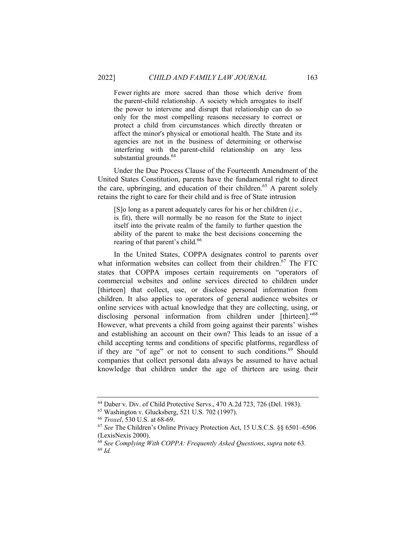Fewer rights are more sacred than those which derive from the parent-child relationship. A society which arrogates to itself the power to intervene and disrupt that relationship can do so only for the most compelling reasons necessary to correct or protect a child from circumstances which directly threaten or affect the minor's physical or emotional health. The State and its agencies are not in the business of determining or otherwise interfering with the parent-child relationship on any less substantial grounds.<sup>64</sup>

Under the Due Process Clause of the Fourteenth Amendment of the United States Constitution, parents have the fundamental right to direct the care, upbringing, and education of their children.<sup>65</sup> A parent solely retains the right to care for their child and is free of State intrusion

[S]o long as a parent adequately cares for his or her children (*i.e.*, is fit), there will normally be no reason for the State to inject itself into the private realm of the family to further question the ability of the parent to make the best decisions concerning the rearing of that parent's child.<sup>66</sup>

In the United States, COPPA designates control to parents over what information websites can collect from their children.<sup>67</sup> The FTC states that COPPA imposes certain requirements on "operators of commercial websites and online services directed to children under [thirteen] that collect, use, or disclose personal information from children. It also applies to operators of general audience websites or online services with actual knowledge that they are collecting, using, or disclosing personal information from children under [thirteen]."<sup>68</sup> However, what prevents a child from going against their parents' wishes and establishing an account on their own? This leads to an issue of a child accepting terms and conditions of specific platforms, regardless of if they are "of age" or not to consent to such conditions.<sup>69</sup> Should companies that collect personal data always be assumed to have actual knowledge that children under the age of thirteen are using their

<sup>64</sup> Daber v. Div. of Child Protective Servs., 470 A.2d 723, 726 (Del. 1983).

<sup>65</sup> Washington v. Glucksberg, 521 U.S. 702 (1997).

<sup>66</sup> *Troxel*, 530 U.S. at 68-69. 67 *See* The Children's Online Privacy Protection Act, 15 U.S.C.S. §§ 6501–6506 (LexisNexis 2000).

<sup>68</sup> *See Complying With COPPA: Frequently Asked Questions*, *supra* note 63. 69 *Id.*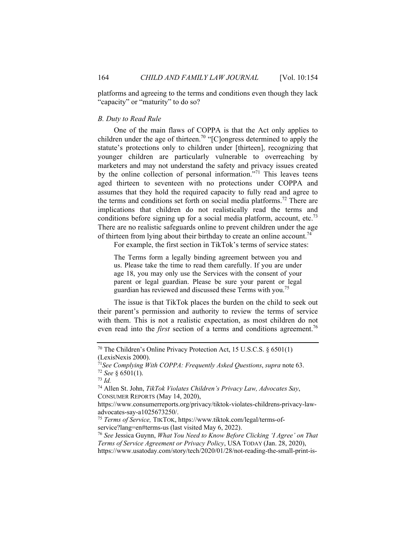platforms and agreeing to the terms and conditions even though they lack "capacity" or "maturity" to do so?

#### *B. Duty to Read Rule*

One of the main flaws of COPPA is that the Act only applies to children under the age of thirteen.<sup>70</sup> "[C]ongress determined to apply the statute's protections only to children under [thirteen], recognizing that younger children are particularly vulnerable to overreaching by marketers and may not understand the safety and privacy issues created by the online collection of personal information."<sup>71</sup> This leaves teens aged thirteen to seventeen with no protections under COPPA and assumes that they hold the required capacity to fully read and agree to the terms and conditions set forth on social media platforms.<sup>72</sup> There are implications that children do not realistically read the terms and conditions before signing up for a social media platform, account, etc.<sup>73</sup> There are no realistic safeguards online to prevent children under the age of thirteen from lying about their birthday to create an online account.<sup>74</sup>

For example, the first section in TikTok's terms of service states:

The Terms form a legally binding agreement between you and us. Please take the time to read them carefully. If you are under age 18, you may only use the Services with the consent of your parent or legal guardian. Please be sure your parent or legal guardian has reviewed and discussed these Terms with you.<sup>75</sup>

The issue is that TikTok places the burden on the child to seek out their parent's permission and authority to review the terms of service with them. This is not a realistic expectation, as most children do not even read into the *first* section of a terms and conditions agreement.<sup>76</sup>

<sup>70</sup> The Children's Online Privacy Protection Act, 15 U.S.C.S. § 6501(1) (LexisNexis 2000).

<sup>71</sup>*See Complying With COPPA: Frequently Asked Questions*, *supra* note 63. 72 *See* § 6501(1). 73 *Id.* 

<sup>74</sup> Allen St. John, *TikTok Violates Children's Privacy Law, Advocates Say*, CONSUMER REPORTS (May 14, 2020),

https://www.consumerreports.org/privacy/tiktok-violates-childrens-privacy-lawadvocates-say-a1025673250/.

<sup>75</sup> *Terms of Service,* TIKTOK, https://www.tiktok.com/legal/terms-ofservice?lang=en#terms-us (last visited May 6, 2022).

<sup>76</sup> *See* Jessica Guynn, *What You Need to Know Before Clicking 'I Agree' on That Terms of Service Agreement or Privacy Policy*, USA TODAY (Jan. 28, 2020),

https://www.usatoday.com/story/tech/2020/01/28/not-reading-the-small-print-is-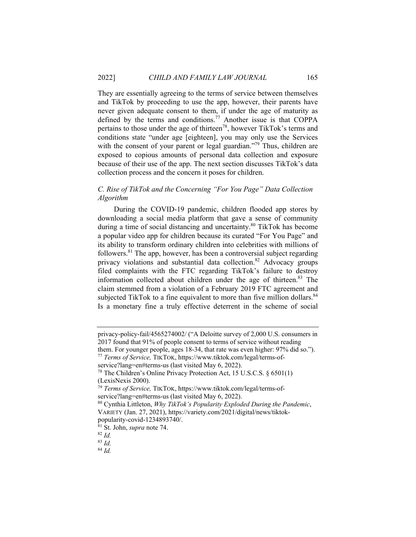They are essentially agreeing to the terms of service between themselves and TikTok by proceeding to use the app, however, their parents have never given adequate consent to them, if under the age of maturity as defined by the terms and conditions.<sup>77</sup> Another issue is that COPPA pertains to those under the age of thirteen78, however TikTok's terms and conditions state "under age [eighteen], you may only use the Services with the consent of your parent or legal guardian."<sup>79</sup> Thus, children are exposed to copious amounts of personal data collection and exposure because of their use of the app. The next section discusses TikTok's data collection process and the concern it poses for children.

### *C. Rise of TikTok and the Concerning "For You Page" Data Collection Algorithm*

During the COVID-19 pandemic, children flooded app stores by downloading a social media platform that gave a sense of community during a time of social distancing and uncertainty.80 TikTok has become a popular video app for children because its curated "For You Page" and its ability to transform ordinary children into celebrities with millions of followers. $81$  The app, however, has been a controversial subject regarding privacy violations and substantial data collection.<sup>82</sup> Advocacy groups filed complaints with the FTC regarding TikTok's failure to destroy information collected about children under the age of thirteen.<sup>83</sup> The claim stemmed from a violation of a February 2019 FTC agreement and subjected TikTok to a fine equivalent to more than five million dollars.<sup>84</sup> Is a monetary fine a truly effective deterrent in the scheme of social

privacy-policy-fail/4565274002/ ("A Deloitte survey of 2,000 U.S. consumers in 2017 found that 91% of people consent to terms of service without reading them. For younger people, ages 18-34, that rate was even higher: 97% did so.").

<sup>77</sup> *Terms of Service,* TIKTOK, https://www.tiktok.com/legal/terms-of-

service?lang=en#terms-us (last visited May 6, 2022).

<sup>78</sup> The Children's Online Privacy Protection Act, 15 U.S.C.S. § 6501(1) (LexisNexis 2000).

<sup>79</sup> *Terms of Service,* TIKTOK, https://www.tiktok.com/legal/terms-ofservice?lang=en#terms-us (last visited May 6, 2022).

<sup>80</sup> Cynthia Littleton, *Why TikTok's Popularity Exploded During the Pandemic*, VARIETY (Jan. 27, 2021), https://variety.com/2021/digital/news/tiktokpopularity-covid-1234893740/.

<sup>81</sup> St. John, *supra* note 74. 82 *Id.* 

<sup>83</sup> *Id.*

<sup>84</sup> *Id.*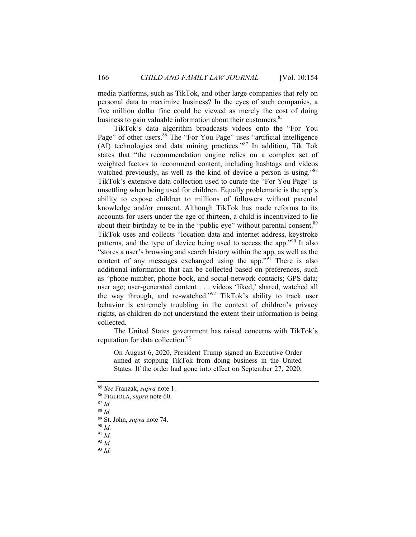media platforms, such as TikTok, and other large companies that rely on personal data to maximize business? In the eyes of such companies, a five million dollar fine could be viewed as merely the cost of doing business to gain valuable information about their customers.<sup>85</sup>

TikTok's data algorithm broadcasts videos onto the "For You Page" of other users.<sup>86</sup> The "For You Page" uses "artificial intelligence (AI) technologies and data mining practices."87 In addition, Tik Tok states that "the recommendation engine relies on a complex set of weighted factors to recommend content, including hashtags and videos watched previously, as well as the kind of device a person is using."<sup>88</sup> TikTok's extensive data collection used to curate the "For You Page" is unsettling when being used for children. Equally problematic is the app's ability to expose children to millions of followers without parental knowledge and/or consent. Although TikTok has made reforms to its accounts for users under the age of thirteen, a child is incentivized to lie about their birthday to be in the "public eye" without parental consent.<sup>89</sup> TikTok uses and collects "location data and internet address, keystroke patterns, and the type of device being used to access the app."90 It also "stores a user's browsing and search history within the app, as well as the content of any messages exchanged using the app."<sup>91</sup> There is also additional information that can be collected based on preferences, such as "phone number, phone book, and social-network contacts; GPS data; user age; user-generated content . . . videos 'liked,' shared, watched all the way through, and re-watched."92 TikTok's ability to track user behavior is extremely troubling in the context of children's privacy rights, as children do not understand the extent their information is being collected.

The United States government has raised concerns with TikTok's reputation for data collection.<sup>93</sup>

On August 6, 2020, President Trump signed an Executive Order aimed at stopping TikTok from doing business in the United States. If the order had gone into effect on September 27, 2020,

<sup>85</sup> *See* Franzak, *supra* note 1. 86 FIGLIOLA, *supra* note 60. 87 *Id.* 

<sup>88</sup> *Id.*

<sup>89</sup> St. John, *supra* note 74.

<sup>90</sup> *Id.*

<sup>91</sup> *Id.*

<sup>92</sup> *Id.*

<sup>93</sup> *Id.*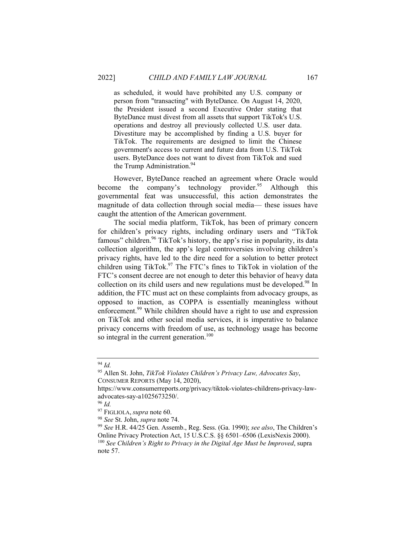as scheduled, it would have prohibited any U.S. company or person from "transacting" with ByteDance. On August 14, 2020, the President issued a second Executive Order stating that ByteDance must divest from all assets that support TikTok's U.S. operations and destroy all previously collected U.S. user data. Divestiture may be accomplished by finding a U.S. buyer for TikTok. The requirements are designed to limit the Chinese government's access to current and future data from U.S. TikTok users. ByteDance does not want to divest from TikTok and sued the Trump Administration.<sup>94</sup>

However, ByteDance reached an agreement where Oracle would become the company's technology provider.<sup>95</sup> Although this governmental feat was unsuccessful, this action demonstrates the magnitude of data collection through social media— these issues have caught the attention of the American government.

The social media platform, TikTok, has been of primary concern for children's privacy rights, including ordinary users and "TikTok famous" children.<sup>96</sup> TikTok's history, the app's rise in popularity, its data collection algorithm, the app's legal controversies involving children's privacy rights, have led to the dire need for a solution to better protect children using TikTok.<sup>97</sup> The FTC's fines to TikTok in violation of the FTC's consent decree are not enough to deter this behavior of heavy data collection on its child users and new regulations must be developed.<sup>98</sup> In addition, the FTC must act on these complaints from advocacy groups, as opposed to inaction, as COPPA is essentially meaningless without enforcement.<sup>99</sup> While children should have a right to use and expression on TikTok and other social media services, it is imperative to balance privacy concerns with freedom of use, as technology usage has become so integral in the current generation.<sup>100</sup>

<sup>94</sup> *Id.*

<sup>95</sup> Allen St. John, *TikTok Violates Children's Privacy Law, Advocates Say*, CONSUMER REPORTS (May 14, 2020),

https://www.consumerreports.org/privacy/tiktok-violates-childrens-privacy-lawadvocates-say-a1025673250/.

<sup>96</sup> *Id.* 

<sup>97</sup> FIGLIOLA, *supra* note 60.

<sup>98</sup> *See* St. John, *supra* note 74.

<sup>99</sup> *See* H.R. 44/25 Gen. Assemb., Reg. Sess. (Ga. 1990); *see also*, The Children's Online Privacy Protection Act, 15 U.S.C.S. §§ 6501–6506 (LexisNexis 2000). <sup>100</sup> *See Children's Right to Privacy in the Digital Age Must be Improved*, supra note 57.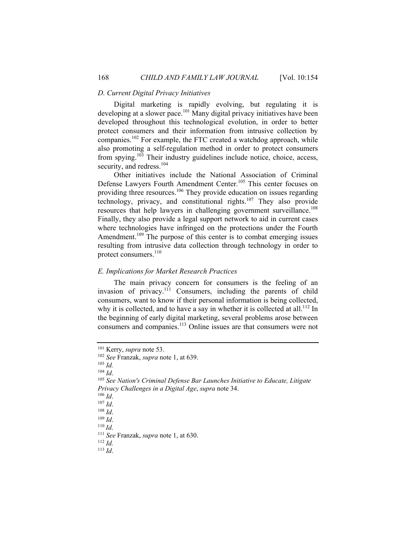#### *D. Current Digital Privacy Initiatives*

Digital marketing is rapidly evolving, but regulating it is developing at a slower pace.<sup>101</sup> Many digital privacy initiatives have been developed throughout this technological evolution, in order to better protect consumers and their information from intrusive collection by companies.102 For example, the FTC created a watchdog approach, while also promoting a self-regulation method in order to protect consumers from spying.103 Their industry guidelines include notice, choice, access, security, and redress.<sup>104</sup>

Other initiatives include the National Association of Criminal Defense Lawyers Fourth Amendment Center.<sup>105</sup> This center focuses on providing three resources.106 They provide education on issues regarding technology, privacy, and constitutional rights.<sup>107</sup> They also provide resources that help lawyers in challenging government surveillance.<sup>108</sup> Finally, they also provide a legal support network to aid in current cases where technologies have infringed on the protections under the Fourth Amendment.<sup>109</sup> The purpose of this center is to combat emerging issues resulting from intrusive data collection through technology in order to protect consumers.<sup>110</sup>

#### *E. Implications for Market Research Practices*

The main privacy concern for consumers is the feeling of an invasion of privacy.<sup>111</sup> Consumers, including the parents of child consumers, want to know if their personal information is being collected, why it is collected, and to have a say in whether it is collected at all.<sup>112</sup> In the beginning of early digital marketing, several problems arose between consumers and companies.113 Online issues are that consumers were not

 $\frac{103}{104}$  *Id.* 

<sup>111</sup> *See* Franzak, *supra* note 1, at 630.

<sup>112</sup> *Id.* 

<sup>113</sup> *Id*.

<sup>101</sup> Kerry, *supra* note 53. 102 *See* Franzak, *supra* note 1, at 639.

<sup>104</sup> *Id*. 105 *See Nation's Criminal Defense Bar Launches Initiative to Educate, Litigate Privacy Challenges in a Digital Age*, *supra* note 34.<br><sup>106</sup> *Id*.<br><sup>107</sup> *Id*.<br><sup>108</sup> *Id*.<br><sup>109</sup> *Id*.<br><sup>110</sup> *Id*.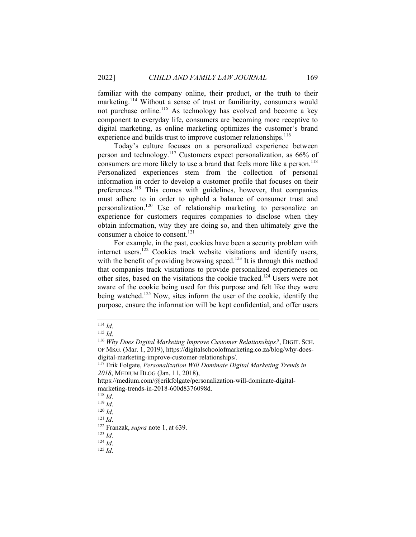familiar with the company online, their product, or the truth to their marketing.<sup>114</sup> Without a sense of trust or familiarity, consumers would not purchase online.<sup>115</sup> As technology has evolved and become a key component to everyday life, consumers are becoming more receptive to digital marketing, as online marketing optimizes the customer's brand experience and builds trust to improve customer relationships.<sup>116</sup>

Today's culture focuses on a personalized experience between person and technology.117 Customers expect personalization, as 66% of consumers are more likely to use a brand that feels more like a person.<sup>118</sup> Personalized experiences stem from the collection of personal information in order to develop a customer profile that focuses on their preferences.<sup>119</sup> This comes with guidelines, however, that companies must adhere to in order to uphold a balance of consumer trust and personalization.120 Use of relationship marketing to personalize an experience for customers requires companies to disclose when they obtain information, why they are doing so, and then ultimately give the consumer a choice to consent.<sup>121</sup>

For example, in the past, cookies have been a security problem with internet users.<sup>122</sup> Cookies track website visitations and identify users, with the benefit of providing browsing speed.<sup>123</sup> It is through this method that companies track visitations to provide personalized experiences on other sites, based on the visitations the cookie tracked.<sup>124</sup> Users were not aware of the cookie being used for this purpose and felt like they were being watched.<sup>125</sup> Now, sites inform the user of the cookie, identify the purpose, ensure the information will be kept confidential, and offer users

<sup>114</sup> *Id*. 115 *Id*. 116 *Why Does Digital Marketing Improve Customer Relationships?*, DIGIT. SCH. OF MKG. (Mar. 1, 2019), https://digitalschoolofmarketing.co.za/blog/why-does-

<sup>&</sup>lt;sup>117</sup> Erik Folgate, *Personalization Will Dominate Digital Marketing Trends in 2018*, MEDIUM BLOG (Jan. 11, 2018),

https://medium.com/@erikfolgate/personalization-will-dominate-digitalmarketing-trends-in-2018-600d8376098d.<br><sup>118</sup> Id.

<sup>118</sup> *Id*. 119 *Id*. 120 *Id*. 121 *Id*.

<sup>122</sup> Franzak, *supra* note 1, at 639. 123 *Id*. 124 *Id*. 125 *Id*.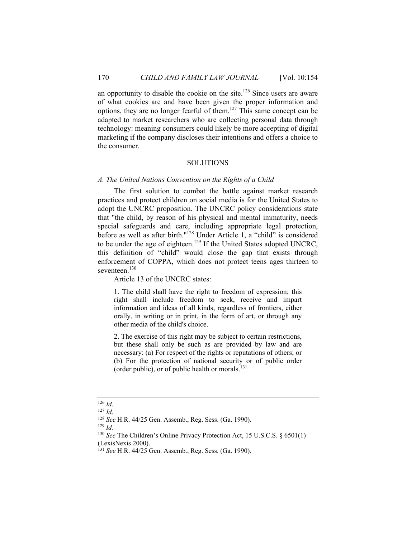an opportunity to disable the cookie on the site.<sup>126</sup> Since users are aware of what cookies are and have been given the proper information and options, they are no longer fearful of them.127 This same concept can be adapted to market researchers who are collecting personal data through technology: meaning consumers could likely be more accepting of digital marketing if the company discloses their intentions and offers a choice to the consumer.

#### SOLUTIONS

#### *A. The United Nations Convention on the Rights of a Child*

The first solution to combat the battle against market research practices and protect children on social media is for the United States to adopt the UNCRC proposition. The UNCRC policy considerations state that "the child, by reason of his physical and mental immaturity, needs special safeguards and care, including appropriate legal protection, before as well as after birth."<sup>128</sup> Under Article 1, a "child" is considered to be under the age of eighteen.<sup>129</sup> If the United States adopted UNCRC, this definition of "child" would close the gap that exists through enforcement of COPPA, which does not protect teens ages thirteen to seventeen.<sup>130</sup>

Article 13 of the UNCRC states:

1. The child shall have the right to freedom of expression; this right shall include freedom to seek, receive and impart information and ideas of all kinds, regardless of frontiers, either orally, in writing or in print, in the form of art, or through any other media of the child's choice.

2. The exercise of this right may be subject to certain restrictions, but these shall only be such as are provided by law and are necessary: (a) For respect of the rights or reputations of others; or (b) For the protection of national security or of public order (order public), or of public health or morals. $^{131}$ 

<sup>126</sup> *Id*. 127 *Id*. 128 *See* H.R. 44/25 Gen. Assemb., Reg. Sess. (Ga. 1990). 129 *Id.* 

<sup>130</sup> *See* The Children's Online Privacy Protection Act, 15 U.S.C.S. § 6501(1) (LexisNexis 2000).

<sup>131</sup> *See* H.R. 44/25 Gen. Assemb., Reg. Sess. (Ga. 1990).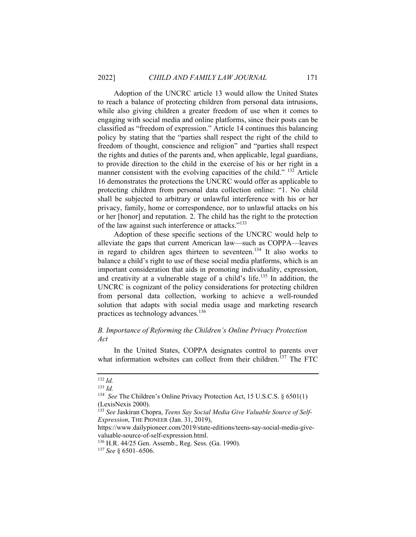Adoption of the UNCRC article 13 would allow the United States to reach a balance of protecting children from personal data intrusions, while also giving children a greater freedom of use when it comes to engaging with social media and online platforms, since their posts can be classified as "freedom of expression." Article 14 continues this balancing policy by stating that the "parties shall respect the right of the child to freedom of thought, conscience and religion" and "parties shall respect the rights and duties of the parents and, when applicable, legal guardians, to provide direction to the child in the exercise of his or her right in a manner consistent with the evolving capacities of the child." <sup>132</sup> Article 16 demonstrates the protections the UNCRC would offer as applicable to protecting children from personal data collection online: "1. No child shall be subjected to arbitrary or unlawful interference with his or her privacy, family, home or correspondence, nor to unlawful attacks on his or her [honor] and reputation. 2. The child has the right to the protection of the law against such interference or attacks."<sup>133</sup>

Adoption of these specific sections of the UNCRC would help to alleviate the gaps that current American law—such as COPPA—leaves in regard to children ages thirteen to seventeen.<sup>134</sup> It also works to balance a child's right to use of these social media platforms, which is an important consideration that aids in promoting individuality, expression, and creativity at a vulnerable stage of a child's life.<sup>135</sup> In addition, the UNCRC is cognizant of the policy considerations for protecting children from personal data collection, working to achieve a well-rounded solution that adapts with social media usage and marketing research practices as technology advances.<sup>136</sup>

#### *B. Importance of Reforming the Children's Online Privacy Protection Act*

In the United States, COPPA designates control to parents over what information websites can collect from their children.<sup>137</sup> The FTC

<sup>132</sup> *Id.*

<sup>133</sup> *Id.*

<sup>134</sup> *See* The Children's Online Privacy Protection Act, 15 U.S.C.S. § 6501(1) (LexisNexis 2000).

<sup>135</sup> *See* Jaskiran Chopra, *Teens Say Social Media Give Valuable Source of Self-Expression*, THE PIONEER (Jan. 31, 2019),

https://www.dailypioneer.com/2019/state-editions/teens-say-social-media-givevaluable-source-of-self-expression.html.

<sup>136</sup> H.R. 44/25 Gen. Assemb., Reg. Sess. (Ga. 1990).

<sup>137</sup> *See* § 6501–6506.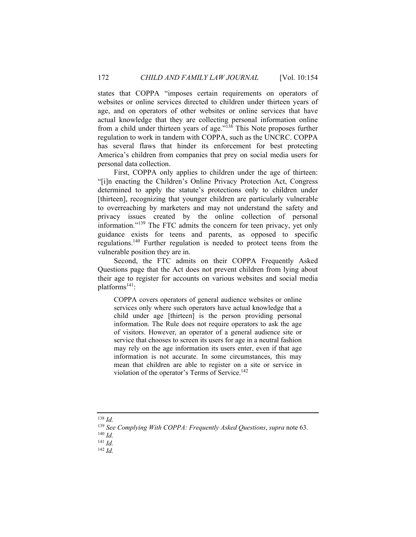states that COPPA "imposes certain requirements on operators of websites or online services directed to children under thirteen years of age, and on operators of other websites or online services that have actual knowledge that they are collecting personal information online from a child under thirteen years of age."138 This Note proposes further regulation to work in tandem with COPPA, such as the UNCRC. COPPA has several flaws that hinder its enforcement for best protecting America's children from companies that prey on social media users for personal data collection.

First, COPPA only applies to children under the age of thirteen: "[i]n enacting the Children's Online Privacy Protection Act, Congress determined to apply the statute's protections only to children under [thirteen], recognizing that younger children are particularly vulnerable to overreaching by marketers and may not understand the safety and privacy issues created by the online collection of personal information."139 The FTC admits the concern for teen privacy, yet only guidance exists for teens and parents, as opposed to specific regulations.140 Further regulation is needed to protect teens from the vulnerable position they are in.

Second, the FTC admits on their COPPA Frequently Asked Questions page that the Act does not prevent children from lying about their age to register for accounts on various websites and social media platforms<sup>141</sup>:

COPPA covers operators of general audience websites or online services only where such operators have actual knowledge that a child under age [thirteen] is the person providing personal information. The Rule does not require operators to ask the age of visitors. However, an operator of a general audience site or service that chooses to screen its users for age in a neutral fashion may rely on the age information its users enter, even if that age information is not accurate. In some circumstances, this may mean that children are able to register on a site or service in violation of the operator's Terms of Service.<sup>142</sup>

<sup>138</sup> *Id.*

<sup>139</sup> *See Complying With COPPA: Frequently Asked Questions*, *supra* note 63. 140 *Id.* 

<sup>141</sup> *Id.*

<sup>142</sup> *Id.*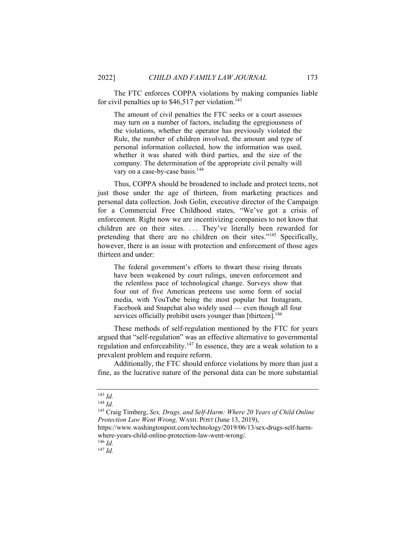The FTC enforces COPPA violations by making companies liable for civil penalties up to  $$46,517$  per violation.<sup>143</sup>

The amount of civil penalties the FTC seeks or a court assesses may turn on a number of factors, including the egregiousness of the violations, whether the operator has previously violated the Rule, the number of children involved, the amount and type of personal information collected, how the information was used, whether it was shared with third parties, and the size of the company. The determination of the appropriate civil penalty will vary on a case-by-case basis.<sup>144</sup>

Thus, COPPA should be broadened to include and protect teens, not just those under the age of thirteen, from marketing practices and personal data collection. Josh Golin, executive director of the Campaign for a Commercial Free Childhood states, "We've got a crisis of enforcement. Right now we are incentivizing companies to not know that children are on their sites. ... They've literally been rewarded for pretending that there are no children on their sites."<sup>145</sup> Specifically, however, there is an issue with protection and enforcement of those ages thirteen and under:

The federal government's efforts to thwart these rising threats have been weakened by court rulings, uneven enforcement and the relentless pace of technological change. Surveys show that four out of five American preteens use some form of social media, with YouTube being the most popular but Instagram, Facebook and Snapchat also widely used — even though all four services officially prohibit users younger than [thirteen].<sup>146</sup>

These methods of self-regulation mentioned by the FTC for years argued that "self-regulation" was an effective alternative to governmental regulation and enforceability.147 In essence, they are a weak solution to a prevalent problem and require reform.

Additionally, the FTC should enforce violations by more than just a fine, as the lucrative nature of the personal data can be more substantial

https://www.washingtonpost.com/technology/2019/06/13/sex-drugs-self-harmwhere-years-child-online-protection-law-went-wrong/. 146 *Id.*

<sup>147</sup> *Id.*

<sup>143</sup> *Id.*

<sup>144</sup> *Id.* 

<sup>145</sup> Craig Timberg, *Sex, Drugs, and Self-Harm: Where 20 Years of Child Online Protection Law Went Wrong,* WASH. POST (June 13, 2019),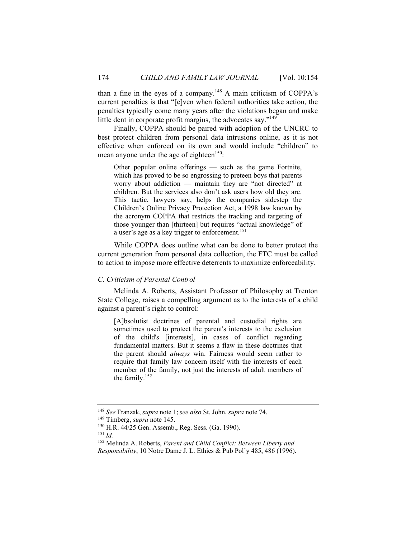than a fine in the eyes of a company.<sup>148</sup> A main criticism of COPPA's current penalties is that "[e]ven when federal authorities take action, the penalties typically come many years after the violations began and make little dent in corporate profit margins, the advocates say."<sup>149</sup>

Finally, COPPA should be paired with adoption of the UNCRC to best protect children from personal data intrusions online, as it is not effective when enforced on its own and would include "children" to mean anyone under the age of eighteen<sup>150</sup>:

Other popular online offerings — such as the game Fortnite, which has proved to be so engrossing to preteen boys that parents worry about addiction — maintain they are "not directed" at children. But the services also don't ask users how old they are. This tactic, lawyers say, helps the companies sidestep the Children's Online Privacy Protection Act, a 1998 law known by the acronym COPPA that restricts the tracking and targeting of those younger than [thirteen] but requires "actual knowledge" of a user's age as a key trigger to enforcement.151

While COPPA does outline what can be done to better protect the current generation from personal data collection, the FTC must be called to action to impose more effective deterrents to maximize enforceability.

#### *C. Criticism of Parental Control*

Melinda A. Roberts, Assistant Professor of Philosophy at Trenton State College, raises a compelling argument as to the interests of a child against a parent's right to control:

[A]bsolutist doctrines of parental and custodial rights are sometimes used to protect the parent's interests to the exclusion of the child's [interests], in cases of conflict regarding fundamental matters. But it seems a flaw in these doctrines that the parent should *always* win. Fairness would seem rather to require that family law concern itself with the interests of each member of the family, not just the interests of adult members of the family.152

<sup>151</sup> *Id.*

<sup>148</sup> *See* Franzak, *supra* note 1; *see also* St. John, *supra* note 74.

<sup>&</sup>lt;sup>150</sup> H.R. 44/25 Gen. Assemb., Reg. Sess. (Ga. 1990).

<sup>152</sup> Melinda A. Roberts, *Parent and Child Conflict: Between Liberty and Responsibility*, 10 Notre Dame J. L. Ethics & Pub Pol'y 485, 486 (1996).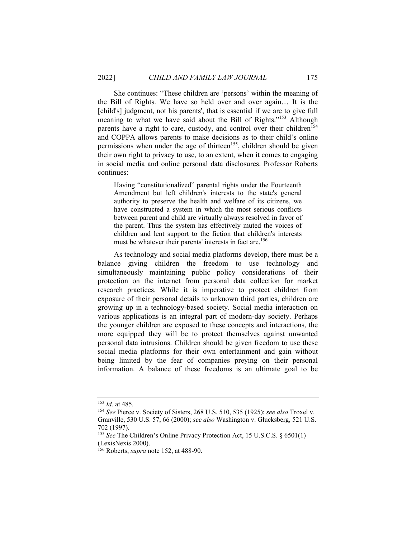She continues: "These children are 'persons' within the meaning of the Bill of Rights. We have so held over and over again… It is the [child's] judgment, not his parents', that is essential if we are to give full meaning to what we have said about the Bill of Rights."<sup>153</sup> Although parents have a right to care, custody, and control over their children<sup>154</sup> and COPPA allows parents to make decisions as to their child's online permissions when under the age of thirteen<sup>155</sup>, children should be given their own right to privacy to use, to an extent, when it comes to engaging in social media and online personal data disclosures. Professor Roberts continues:

Having "constitutionalized" parental rights under the Fourteenth Amendment but left children's interests to the state's general authority to preserve the health and welfare of its citizens, we have constructed a system in which the most serious conflicts between parent and child are virtually always resolved in favor of the parent. Thus the system has effectively muted the voices of children and lent support to the fiction that children's interests must be whatever their parents' interests in fact are.<sup>156</sup>

As technology and social media platforms develop, there must be a balance giving children the freedom to use technology and simultaneously maintaining public policy considerations of their protection on the internet from personal data collection for market research practices. While it is imperative to protect children from exposure of their personal details to unknown third parties, children are growing up in a technology-based society. Social media interaction on various applications is an integral part of modern-day society. Perhaps the younger children are exposed to these concepts and interactions, the more equipped they will be to protect themselves against unwanted personal data intrusions. Children should be given freedom to use these social media platforms for their own entertainment and gain without being limited by the fear of companies preying on their personal information. A balance of these freedoms is an ultimate goal to be

<sup>153</sup> *Id.* at 485. 154 *See* Pierce v. Society of Sisters, 268 U.S. 510, 535 (1925); *see also* Troxel v. Granville, 530 U.S. 57, 66 (2000); *see also* Washington v. Glucksberg, 521 U.S. 702 (1997).

<sup>155</sup> *See* The Children's Online Privacy Protection Act, 15 U.S.C.S. § 6501(1) (LexisNexis 2000).

<sup>156</sup> Roberts, *supra* note 152, at 488-90.